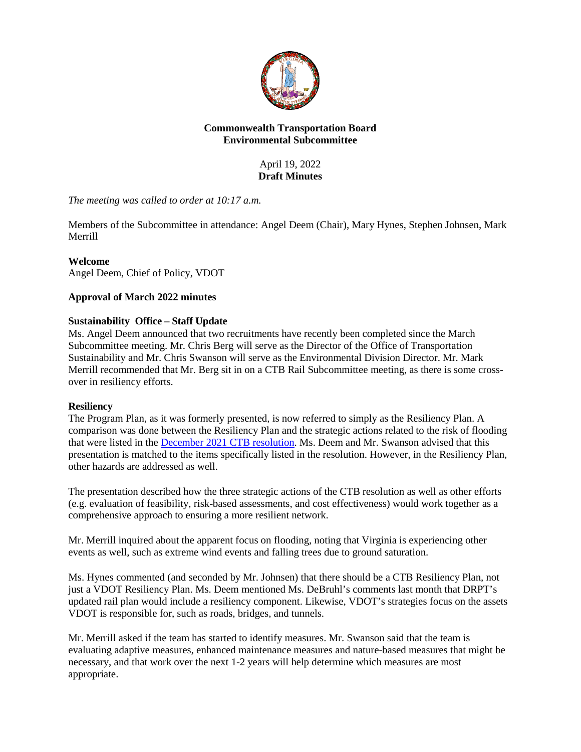

## **Commonwealth Transportation Board Environmental Subcommittee**

April 19, 2022 **Draft Minutes**

*The meeting was called to order at 10:17 a.m.*

Members of the Subcommittee in attendance: Angel Deem (Chair), Mary Hynes, Stephen Johnsen, Mark Merrill

# **Welcome**

Angel Deem, Chief of Policy, VDOT

# **Approval of March 2022 minutes**

### **Sustainability Office – Staff Update**

Ms. Angel Deem announced that two recruitments have recently been completed since the March Subcommittee meeting. Mr. Chris Berg will serve as the Director of the Office of Transportation Sustainability and Mr. Chris Swanson will serve as the Environmental Division Director. Mr. Mark Merrill recommended that Mr. Berg sit in on a CTB Rail Subcommittee meeting, as there is some crossover in resiliency efforts.

### **Resiliency**

The Program Plan, as it was formerly presented, is now referred to simply as the Resiliency Plan. A comparison was done between the Resiliency Plan and the strategic actions related to the risk of flooding that were listed in the [December 2021 CTB resolution.](https://www.ctb.virginia.gov/resources/2021/dec/res/9.pdf) Ms. Deem and Mr. Swanson advised that this presentation is matched to the items specifically listed in the resolution. However, in the Resiliency Plan, other hazards are addressed as well.

The presentation described how the three strategic actions of the CTB resolution as well as other efforts (e.g. evaluation of feasibility, risk-based assessments, and cost effectiveness) would work together as a comprehensive approach to ensuring a more resilient network.

Mr. Merrill inquired about the apparent focus on flooding, noting that Virginia is experiencing other events as well, such as extreme wind events and falling trees due to ground saturation.

Ms. Hynes commented (and seconded by Mr. Johnsen) that there should be a CTB Resiliency Plan, not just a VDOT Resiliency Plan. Ms. Deem mentioned Ms. DeBruhl's comments last month that DRPT's updated rail plan would include a resiliency component. Likewise, VDOT's strategies focus on the assets VDOT is responsible for, such as roads, bridges, and tunnels.

Mr. Merrill asked if the team has started to identify measures. Mr. Swanson said that the team is evaluating adaptive measures, enhanced maintenance measures and nature-based measures that might be necessary, and that work over the next 1-2 years will help determine which measures are most appropriate.